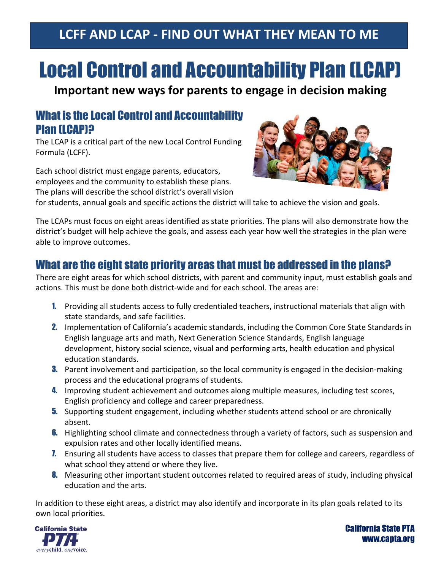# **LCFF AND LCAP - FIND OUT WHAT THEY MEAN TO ME**

# Local Control and Accountability Plan (LCAP)

**Important new ways for parents to engage in decision making**

#### What is the Local Control and Accountability Plan (LCAP)?

The LCAP is a critical part of the new Local Control Funding Formula (LCFF).

Each school district must engage parents, educators, employees and the community to establish these plans. The plans will describe the school district's overall vision



for students, annual goals and specific actions the district will take to achieve the vision and goals.

The LCAPs must focus on eight areas identified as state priorities. The plans will also demonstrate how the district's budget will help achieve the goals, and assess each year how well the strategies in the plan were able to improve outcomes.

## What are the eight state priority areas that must be addressed in the plans?

There are eight areas for which school districts, with parent and community input, must establish goals and actions. This must be done both district-wide and for each school. The areas are:

- 1. Providing all students access to fully credentialed teachers, instructional materials that align with state standards, and safe facilities.
- 2. Implementation of California's academic standards, including the Common Core State Standards in English language arts and math, Next Generation Science Standards, English language development, history social science, visual and performing arts, health education and physical education standards.
- **3.** Parent involvement and participation, so the local community is engaged in the decision-making process and the educational programs of students.
- **4.** Improving student achievement and outcomes along multiple measures, including test scores, English proficiency and college and career preparedness.
- **5.** Supporting student engagement, including whether students attend school or are chronically absent.
- **6.** Highlighting school climate and connectedness through a variety of factors, such as suspension and expulsion rates and other locally identified means.
- **7.** Ensuring all students have access to classes that prepare them for college and careers, regardless of what school they attend or where they live.
- 8. Measuring other important student outcomes related to required areas of study, including physical education and the arts.

In addition to these eight areas, a district may also identify and incorporate in its plan goals related to its own local priorities.